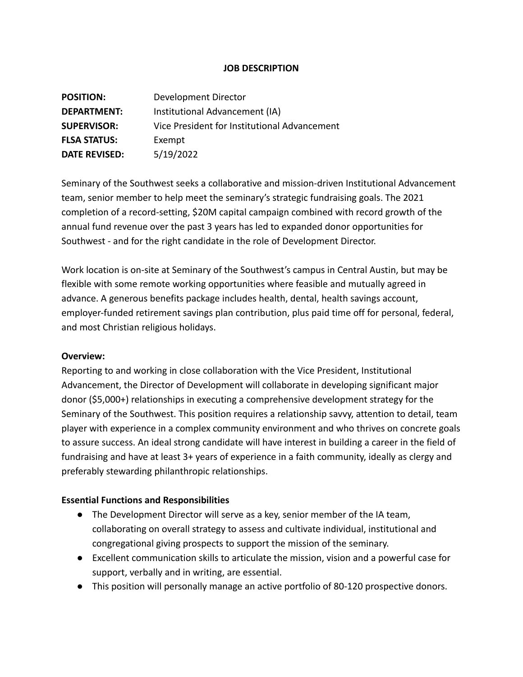#### **JOB DESCRIPTION**

| <b>POSITION:</b>     | Development Director                         |
|----------------------|----------------------------------------------|
| DEPARTMENT:          | Institutional Advancement (IA)               |
| <b>SUPERVISOR:</b>   | Vice President for Institutional Advancement |
| <b>FLSA STATUS:</b>  | Exempt                                       |
| <b>DATE REVISED:</b> | 5/19/2022                                    |

Seminary of the Southwest seeks a collaborative and mission-driven Institutional Advancement team, senior member to help meet the seminary's strategic fundraising goals. The 2021 completion of a record-setting, \$20M capital campaign combined with record growth of the annual fund revenue over the past 3 years has led to expanded donor opportunities for Southwest - and for the right candidate in the role of Development Director.

Work location is on-site at Seminary of the Southwest's campus in Central Austin, but may be flexible with some remote working opportunities where feasible and mutually agreed in advance. A generous benefits package includes health, dental, health savings account, employer-funded retirement savings plan contribution, plus paid time off for personal, federal, and most Christian religious holidays.

#### **Overview:**

Reporting to and working in close collaboration with the Vice President, Institutional Advancement, the Director of Development will collaborate in developing significant major donor (\$5,000+) relationships in executing a comprehensive development strategy for the Seminary of the Southwest. This position requires a relationship savvy, attention to detail, team player with experience in a complex community environment and who thrives on concrete goals to assure success. An ideal strong candidate will have interest in building a career in the field of fundraising and have at least 3+ years of experience in a faith community, ideally as clergy and preferably stewarding philanthropic relationships.

### **Essential Functions and Responsibilities**

- The Development Director will serve as a key, senior member of the IA team, collaborating on overall strategy to assess and cultivate individual, institutional and congregational giving prospects to support the mission of the seminary.
- Excellent communication skills to articulate the mission, vision and a powerful case for support, verbally and in writing, are essential.
- This position will personally manage an active portfolio of 80-120 prospective donors.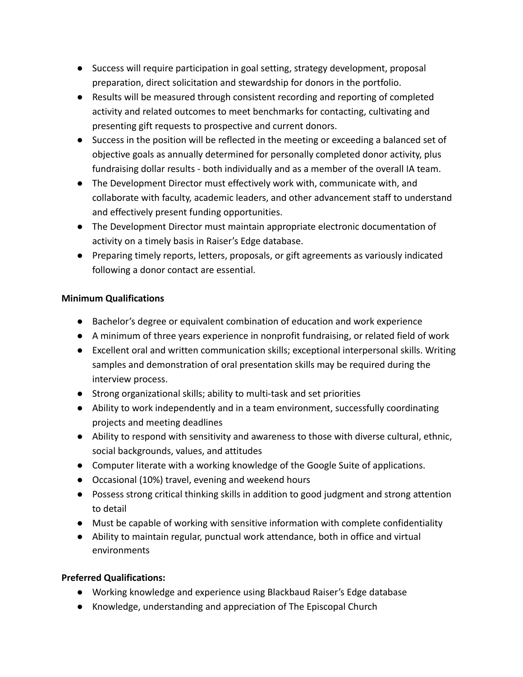- Success will require participation in goal setting, strategy development, proposal preparation, direct solicitation and stewardship for donors in the portfolio.
- Results will be measured through consistent recording and reporting of completed activity and related outcomes to meet benchmarks for contacting, cultivating and presenting gift requests to prospective and current donors.
- Success in the position will be reflected in the meeting or exceeding a balanced set of objective goals as annually determined for personally completed donor activity, plus fundraising dollar results - both individually and as a member of the overall IA team.
- The Development Director must effectively work with, communicate with, and collaborate with faculty, academic leaders, and other advancement staff to understand and effectively present funding opportunities.
- The Development Director must maintain appropriate electronic documentation of activity on a timely basis in Raiser's Edge database.
- Preparing timely reports, letters, proposals, or gift agreements as variously indicated following a donor contact are essential.

## **Minimum Qualifications**

- Bachelor's degree or equivalent combination of education and work experience
- A minimum of three years experience in nonprofit fundraising, or related field of work
- Excellent oral and written communication skills; exceptional interpersonal skills. Writing samples and demonstration of oral presentation skills may be required during the interview process.
- Strong organizational skills; ability to multi-task and set priorities
- Ability to work independently and in a team environment, successfully coordinating projects and meeting deadlines
- Ability to respond with sensitivity and awareness to those with diverse cultural, ethnic, social backgrounds, values, and attitudes
- Computer literate with a working knowledge of the Google Suite of applications.
- Occasional (10%) travel, evening and weekend hours
- Possess strong critical thinking skills in addition to good judgment and strong attention to detail
- Must be capable of working with sensitive information with complete confidentiality
- Ability to maintain regular, punctual work attendance, both in office and virtual environments

# **Preferred Qualifications:**

- Working knowledge and experience using Blackbaud Raiser's Edge database
- Knowledge, understanding and appreciation of The Episcopal Church